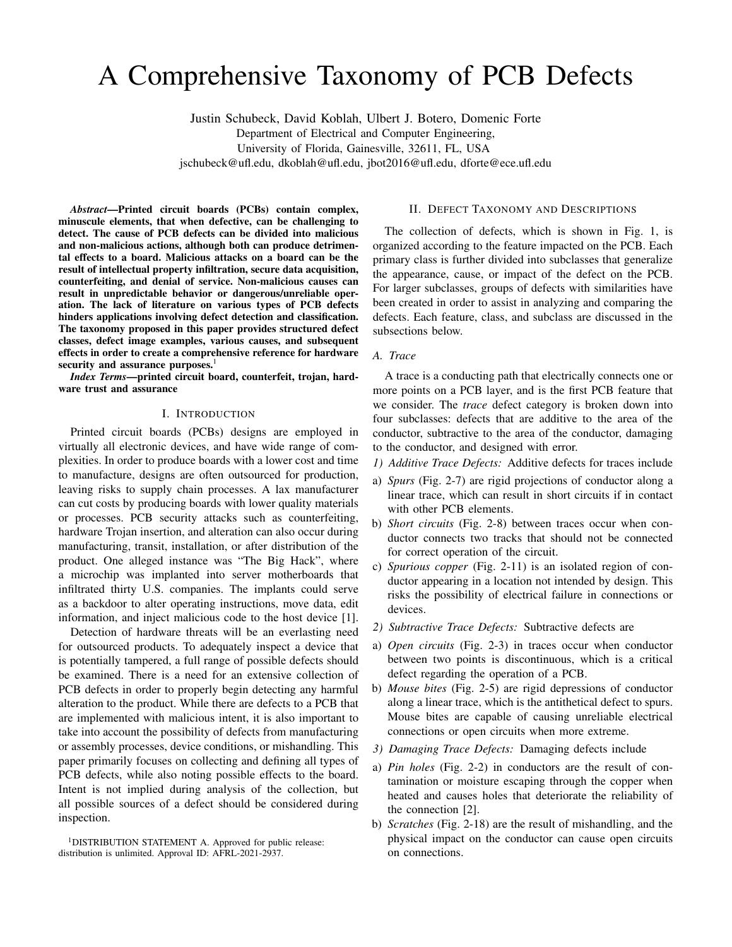# A Comprehensive Taxonomy of PCB Defects

Justin Schubeck, David Koblah, Ulbert J. Botero, Domenic Forte Department of Electrical and Computer Engineering, University of Florida, Gainesville, 32611, FL, USA jschubeck@ufl.edu, dkoblah@ufl.edu, jbot2016@ufl.edu, dforte@ece.ufl.edu

*Abstract*—Printed circuit boards (PCBs) contain complex, minuscule elements, that when defective, can be challenging to detect. The cause of PCB defects can be divided into malicious and non-malicious actions, although both can produce detrimental effects to a board. Malicious attacks on a board can be the result of intellectual property infiltration, secure data acquisition, counterfeiting, and denial of service. Non-malicious causes can result in unpredictable behavior or dangerous/unreliable operation. The lack of literature on various types of PCB defects hinders applications involving defect detection and classification. The taxonomy proposed in this paper provides structured defect classes, defect image examples, various causes, and subsequent effects in order to create a comprehensive reference for hardware security and assurance purposes.<sup>1</sup>

*Index Terms*—printed circuit board, counterfeit, trojan, hardware trust and assurance

## I. INTRODUCTION

Printed circuit boards (PCBs) designs are employed in virtually all electronic devices, and have wide range of complexities. In order to produce boards with a lower cost and time to manufacture, designs are often outsourced for production, leaving risks to supply chain processes. A lax manufacturer can cut costs by producing boards with lower quality materials or processes. PCB security attacks such as counterfeiting, hardware Trojan insertion, and alteration can also occur during manufacturing, transit, installation, or after distribution of the product. One alleged instance was "The Big Hack", where a microchip was implanted into server motherboards that infiltrated thirty U.S. companies. The implants could serve as a backdoor to alter operating instructions, move data, edit information, and inject malicious code to the host device [1].

Detection of hardware threats will be an everlasting need for outsourced products. To adequately inspect a device that is potentially tampered, a full range of possible defects should be examined. There is a need for an extensive collection of PCB defects in order to properly begin detecting any harmful alteration to the product. While there are defects to a PCB that are implemented with malicious intent, it is also important to take into account the possibility of defects from manufacturing or assembly processes, device conditions, or mishandling. This paper primarily focuses on collecting and defining all types of PCB defects, while also noting possible effects to the board. Intent is not implied during analysis of the collection, but all possible sources of a defect should be considered during inspection.

<sup>1</sup>DISTRIBUTION STATEMENT A. Approved for public release: distribution is unlimited. Approval ID: AFRL-2021-2937.

#### II. DEFECT TAXONOMY AND DESCRIPTIONS

The collection of defects, which is shown in Fig. 1, is organized according to the feature impacted on the PCB. Each primary class is further divided into subclasses that generalize the appearance, cause, or impact of the defect on the PCB. For larger subclasses, groups of defects with similarities have been created in order to assist in analyzing and comparing the defects. Each feature, class, and subclass are discussed in the subsections below.

## *A. Trace*

A trace is a conducting path that electrically connects one or more points on a PCB layer, and is the first PCB feature that we consider. The *trace* defect category is broken down into four subclasses: defects that are additive to the area of the conductor, subtractive to the area of the conductor, damaging to the conductor, and designed with error.

- *1) Additive Trace Defects:* Additive defects for traces include
- a) *Spurs* (Fig. 2-7) are rigid projections of conductor along a linear trace, which can result in short circuits if in contact with other PCB elements.
- b) *Short circuits* (Fig. 2-8) between traces occur when conductor connects two tracks that should not be connected for correct operation of the circuit.
- c) *Spurious copper* (Fig. 2-11) is an isolated region of conductor appearing in a location not intended by design. This risks the possibility of electrical failure in connections or devices.
- *2) Subtractive Trace Defects:* Subtractive defects are
- a) *Open circuits* (Fig. 2-3) in traces occur when conductor between two points is discontinuous, which is a critical defect regarding the operation of a PCB.
- b) *Mouse bites* (Fig. 2-5) are rigid depressions of conductor along a linear trace, which is the antithetical defect to spurs. Mouse bites are capable of causing unreliable electrical connections or open circuits when more extreme.
- *3) Damaging Trace Defects:* Damaging defects include
- a) *Pin holes* (Fig. 2-2) in conductors are the result of contamination or moisture escaping through the copper when heated and causes holes that deteriorate the reliability of the connection [2].
- b) *Scratches* (Fig. 2-18) are the result of mishandling, and the physical impact on the conductor can cause open circuits on connections.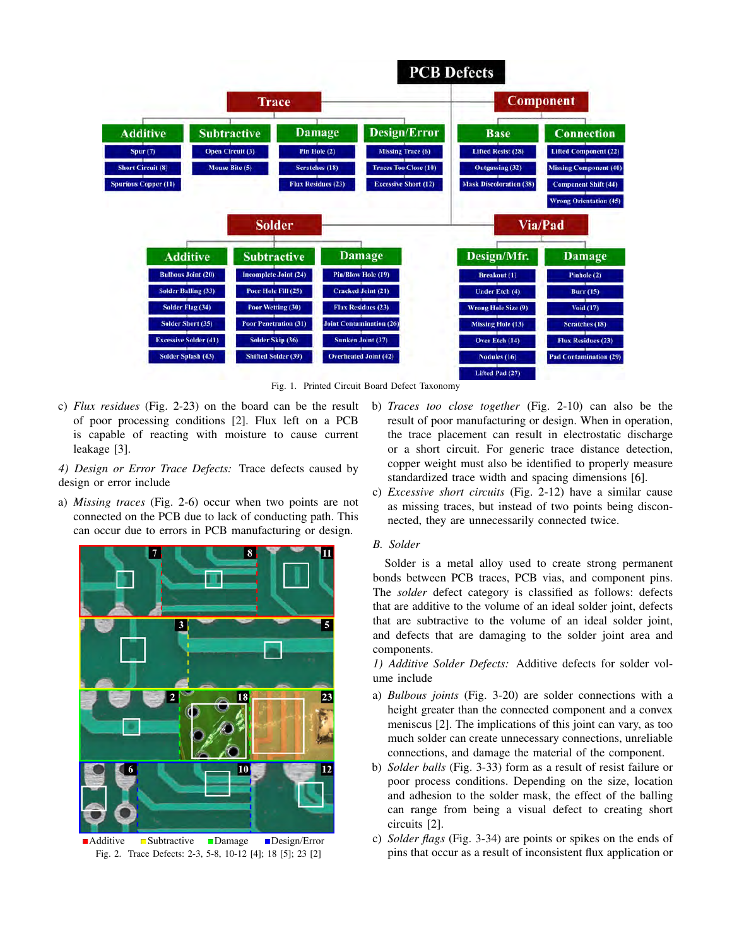

Fig. 1. Printed Circuit Board Defect Taxonomy

- c) *Flux residues* (Fig. 2-23) on the board can be the result of poor processing conditions [2]. Flux left on a PCB is capable of reacting with moisture to cause current leakage [3].
- *4) Design or Error Trace Defects:* Trace defects caused by design or error include
- a) *Missing traces* (Fig. 2-6) occur when two points are not connected on the PCB due to lack of conducting path. This can occur due to errors in PCB manufacturing or design.



**Damage Additive**  $\blacksquare$  Subtractive  $\blacksquare$ Design/Error Fig. 2. Trace Defects: 2-3, 5-8, 10-12 [4]; 18 [5]; 23 [2]

- b) *Traces too close together* (Fig. 2-10) can also be the result of poor manufacturing or design. When in operation, the trace placement can result in electrostatic discharge or a short circuit. For generic trace distance detection, copper weight must also be identified to properly measure standardized trace width and spacing dimensions [6].
- c) *Excessive short circuits* (Fig. 2-12) have a similar cause as missing traces, but instead of two points being disconnected, they are unnecessarily connected twice.

## *B. Solder*

Solder is a metal alloy used to create strong permanent bonds between PCB traces, PCB vias, and component pins. The *solder* defect category is classified as follows: defects that are additive to the volume of an ideal solder joint, defects that are subtractive to the volume of an ideal solder joint, and defects that are damaging to the solder joint area and components.

*1) Additive Solder Defects:* Additive defects for solder volume include

- a) *Bulbous joints* (Fig. 3-20) are solder connections with a height greater than the connected component and a convex meniscus [2]. The implications of this joint can vary, as too much solder can create unnecessary connections, unreliable connections, and damage the material of the component.
- b) *Solder balls* (Fig. 3-33) form as a result of resist failure or poor process conditions. Depending on the size, location and adhesion to the solder mask, the effect of the balling can range from being a visual defect to creating short circuits [2].
- c) *Solder flags* (Fig. 3-34) are points or spikes on the ends of pins that occur as a result of inconsistent flux application or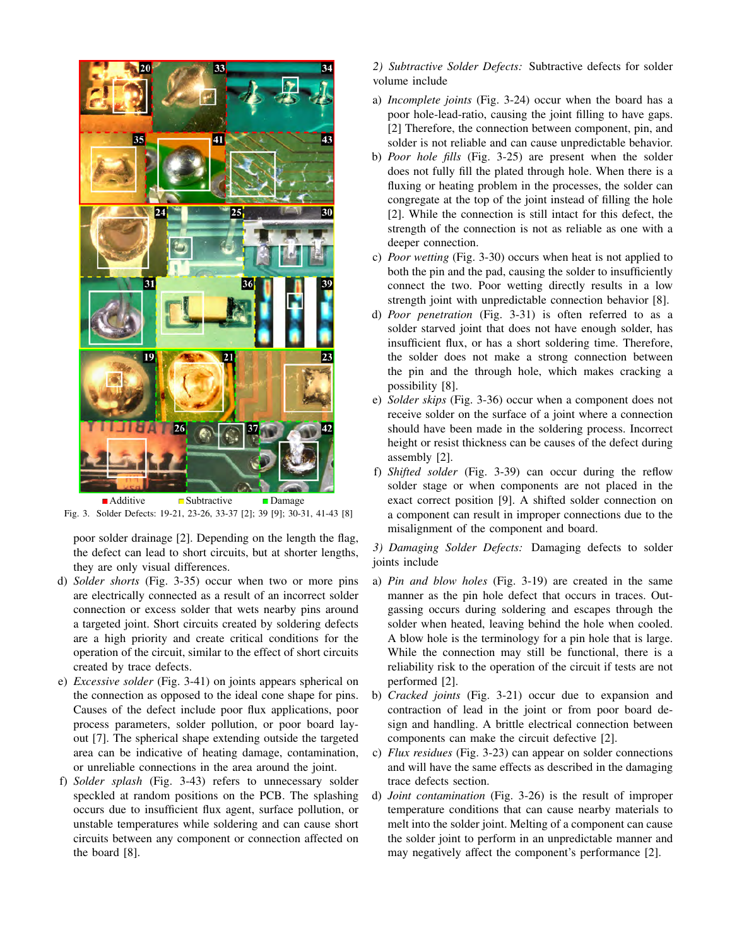

Fig. 3. Solder Defects: 19-21, 23-26, 33-37 [2]; 39 [9]; 30-31, 41-43 [8]

poor solder drainage [2]. Depending on the length the flag, the defect can lead to short circuits, but at shorter lengths, they are only visual differences.

- d) *Solder shorts* (Fig. 3-35) occur when two or more pins are electrically connected as a result of an incorrect solder connection or excess solder that wets nearby pins around a targeted joint. Short circuits created by soldering defects are a high priority and create critical conditions for the operation of the circuit, similar to the effect of short circuits created by trace defects.
- e) *Excessive solder* (Fig. 3-41) on joints appears spherical on the connection as opposed to the ideal cone shape for pins. Causes of the defect include poor flux applications, poor process parameters, solder pollution, or poor board layout [7]. The spherical shape extending outside the targeted area can be indicative of heating damage, contamination, or unreliable connections in the area around the joint.
- f) *Solder splash* (Fig. 3-43) refers to unnecessary solder speckled at random positions on the PCB. The splashing occurs due to insufficient flux agent, surface pollution, or unstable temperatures while soldering and can cause short circuits between any component or connection affected on the board [8].

*2) Subtractive Solder Defects:* Subtractive defects for solder volume include

- a) *Incomplete joints* (Fig. 3-24) occur when the board has a poor hole-lead-ratio, causing the joint filling to have gaps. [2] Therefore, the connection between component, pin, and solder is not reliable and can cause unpredictable behavior.
- b) *Poor hole fills* (Fig. 3-25) are present when the solder does not fully fill the plated through hole. When there is a fluxing or heating problem in the processes, the solder can congregate at the top of the joint instead of filling the hole [2]. While the connection is still intact for this defect, the strength of the connection is not as reliable as one with a deeper connection.
- c) *Poor wetting* (Fig. 3-30) occurs when heat is not applied to both the pin and the pad, causing the solder to insufficiently connect the two. Poor wetting directly results in a low strength joint with unpredictable connection behavior [8].
- d) *Poor penetration* (Fig. 3-31) is often referred to as a solder starved joint that does not have enough solder, has insufficient flux, or has a short soldering time. Therefore, the solder does not make a strong connection between the pin and the through hole, which makes cracking a possibility [8].
- e) *Solder skips* (Fig. 3-36) occur when a component does not receive solder on the surface of a joint where a connection should have been made in the soldering process. Incorrect height or resist thickness can be causes of the defect during assembly [2].
- f) *Shifted solder* (Fig. 3-39) can occur during the reflow solder stage or when components are not placed in the exact correct position [9]. A shifted solder connection on a component can result in improper connections due to the misalignment of the component and board.

## *3) Damaging Solder Defects:* Damaging defects to solder joints include

- a) *Pin and blow holes* (Fig. 3-19) are created in the same manner as the pin hole defect that occurs in traces. Outgassing occurs during soldering and escapes through the solder when heated, leaving behind the hole when cooled. A blow hole is the terminology for a pin hole that is large. While the connection may still be functional, there is a reliability risk to the operation of the circuit if tests are not performed [2].
- b) *Cracked joints* (Fig. 3-21) occur due to expansion and contraction of lead in the joint or from poor board design and handling. A brittle electrical connection between components can make the circuit defective [2].
- c) *Flux residues* (Fig. 3-23) can appear on solder connections and will have the same effects as described in the damaging trace defects section.
- d) *Joint contamination* (Fig. 3-26) is the result of improper temperature conditions that can cause nearby materials to melt into the solder joint. Melting of a component can cause the solder joint to perform in an unpredictable manner and may negatively affect the component's performance [2].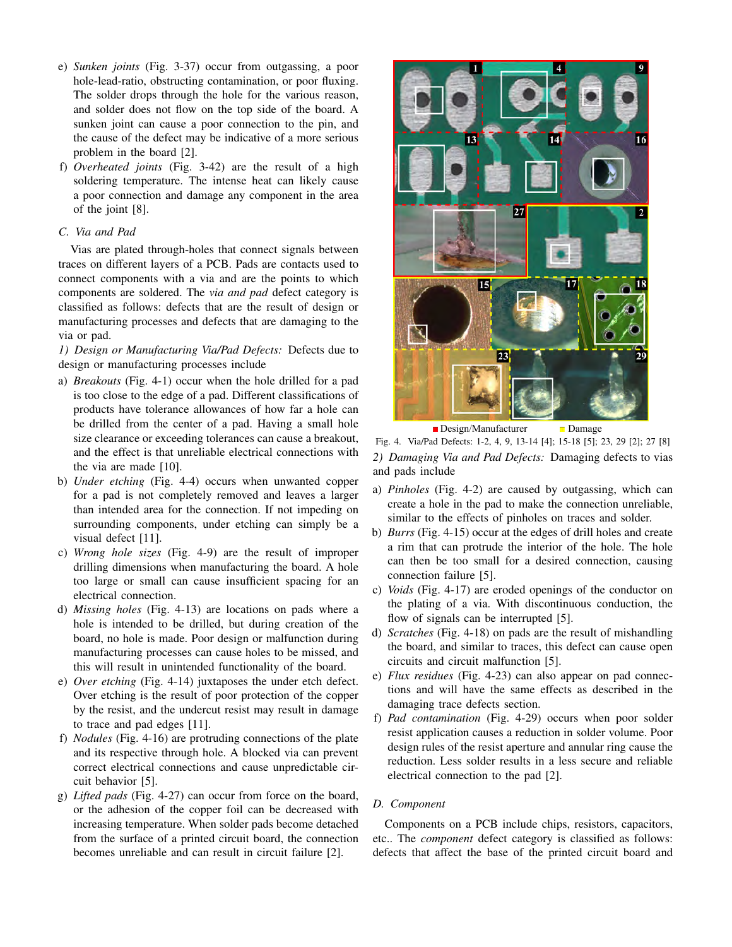- e) *Sunken joints* (Fig. 3-37) occur from outgassing, a poor hole-lead-ratio, obstructing contamination, or poor fluxing. The solder drops through the hole for the various reason, and solder does not flow on the top side of the board. A sunken joint can cause a poor connection to the pin, and the cause of the defect may be indicative of a more serious problem in the board [2].
- f) *Overheated joints* (Fig. 3-42) are the result of a high soldering temperature. The intense heat can likely cause a poor connection and damage any component in the area of the joint [8].

## *C. Via and Pad*

Vias are plated through-holes that connect signals between traces on different layers of a PCB. Pads are contacts used to connect components with a via and are the points to which components are soldered. The *via and pad* defect category is classified as follows: defects that are the result of design or manufacturing processes and defects that are damaging to the via or pad.

*1) Design or Manufacturing Via/Pad Defects:* Defects due to design or manufacturing processes include

- a) *Breakouts* (Fig. 4-1) occur when the hole drilled for a pad is too close to the edge of a pad. Different classifications of products have tolerance allowances of how far a hole can be drilled from the center of a pad. Having a small hole size clearance or exceeding tolerances can cause a breakout, and the effect is that unreliable electrical connections with the via are made [10].
- b) *Under etching* (Fig. 4-4) occurs when unwanted copper for a pad is not completely removed and leaves a larger than intended area for the connection. If not impeding on surrounding components, under etching can simply be a visual defect [11].
- c) *Wrong hole sizes* (Fig. 4-9) are the result of improper drilling dimensions when manufacturing the board. A hole too large or small can cause insufficient spacing for an electrical connection.
- d) *Missing holes* (Fig. 4-13) are locations on pads where a hole is intended to be drilled, but during creation of the board, no hole is made. Poor design or malfunction during manufacturing processes can cause holes to be missed, and this will result in unintended functionality of the board.
- e) *Over etching* (Fig. 4-14) juxtaposes the under etch defect. Over etching is the result of poor protection of the copper by the resist, and the undercut resist may result in damage to trace and pad edges [11].
- f) *Nodules* (Fig. 4-16) are protruding connections of the plate and its respective through hole. A blocked via can prevent correct electrical connections and cause unpredictable circuit behavior [5].
- g) *Lifted pads* (Fig. 4-27) can occur from force on the board, or the adhesion of the copper foil can be decreased with increasing temperature. When solder pads become detached from the surface of a printed circuit board, the connection becomes unreliable and can result in circuit failure [2].



Design/Manufacturer **Damage** 

Fig. 4. Via/Pad Defects: 1-2, 4, 9, 13-14 [4]; 15-18 [5]; 23, 29 [2]; 27 [8] *2) Damaging Via and Pad Defects:* Damaging defects to vias and pads include

- a) *Pinholes* (Fig. 4-2) are caused by outgassing, which can create a hole in the pad to make the connection unreliable, similar to the effects of pinholes on traces and solder.
- b) *Burrs* (Fig. 4-15) occur at the edges of drill holes and create a rim that can protrude the interior of the hole. The hole can then be too small for a desired connection, causing connection failure [5].
- c) *Voids* (Fig. 4-17) are eroded openings of the conductor on the plating of a via. With discontinuous conduction, the flow of signals can be interrupted [5].
- d) *Scratches* (Fig. 4-18) on pads are the result of mishandling the board, and similar to traces, this defect can cause open circuits and circuit malfunction [5].
- e) *Flux residues* (Fig. 4-23) can also appear on pad connections and will have the same effects as described in the damaging trace defects section.
- f) *Pad contamination* (Fig. 4-29) occurs when poor solder resist application causes a reduction in solder volume. Poor design rules of the resist aperture and annular ring cause the reduction. Less solder results in a less secure and reliable electrical connection to the pad [2].

## *D. Component*

Components on a PCB include chips, resistors, capacitors, etc.. The *component* defect category is classified as follows: defects that affect the base of the printed circuit board and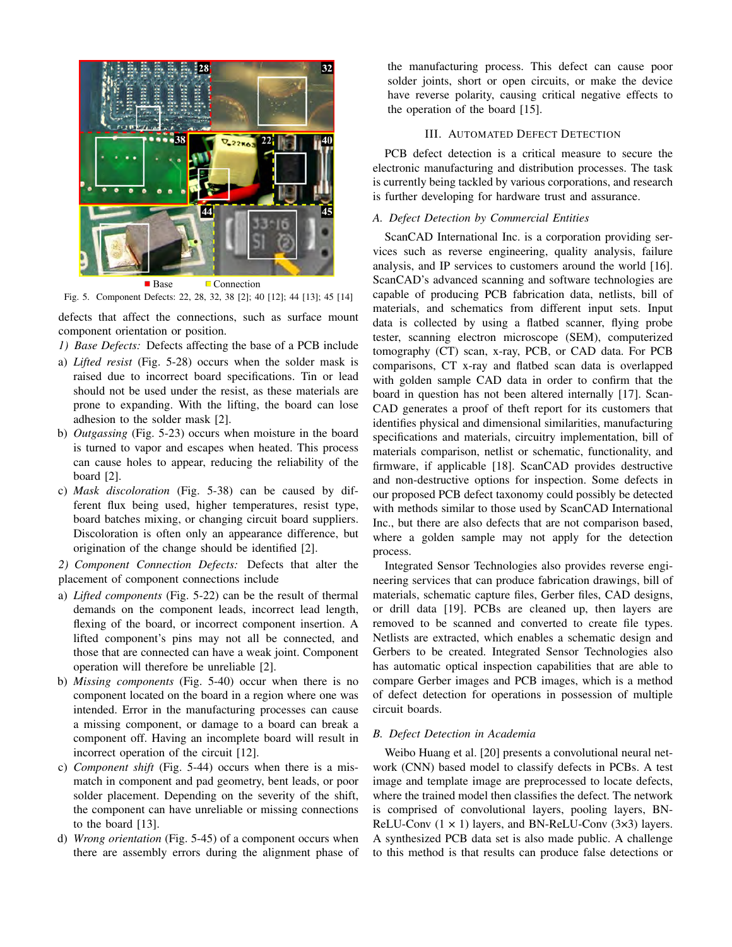

Fig. 5. Component Defects: 22, 28, 32, 38 [2]; 40 [12]; 44 [13]; 45 [14]

defects that affect the connections, such as surface mount component orientation or position.

- *1) Base Defects:* Defects affecting the base of a PCB include
- a) *Lifted resist* (Fig. 5-28) occurs when the solder mask is raised due to incorrect board specifications. Tin or lead should not be used under the resist, as these materials are prone to expanding. With the lifting, the board can lose adhesion to the solder mask [2].
- b) *Outgassing* (Fig. 5-23) occurs when moisture in the board is turned to vapor and escapes when heated. This process can cause holes to appear, reducing the reliability of the board [2].
- c) *Mask discoloration* (Fig. 5-38) can be caused by different flux being used, higher temperatures, resist type, board batches mixing, or changing circuit board suppliers. Discoloration is often only an appearance difference, but origination of the change should be identified [2].

*2) Component Connection Defects:* Defects that alter the placement of component connections include

- a) *Lifted components* (Fig. 5-22) can be the result of thermal demands on the component leads, incorrect lead length, flexing of the board, or incorrect component insertion. A lifted component's pins may not all be connected, and those that are connected can have a weak joint. Component operation will therefore be unreliable [2].
- b) *Missing components* (Fig. 5-40) occur when there is no component located on the board in a region where one was intended. Error in the manufacturing processes can cause a missing component, or damage to a board can break a component off. Having an incomplete board will result in incorrect operation of the circuit [12].
- c) *Component shift* (Fig. 5-44) occurs when there is a mismatch in component and pad geometry, bent leads, or poor solder placement. Depending on the severity of the shift, the component can have unreliable or missing connections to the board [13].
- d) *Wrong orientation* (Fig. 5-45) of a component occurs when there are assembly errors during the alignment phase of

the manufacturing process. This defect can cause poor solder joints, short or open circuits, or make the device have reverse polarity, causing critical negative effects to the operation of the board [15].

#### III. AUTOMATED DEFECT DETECTION

PCB defect detection is a critical measure to secure the electronic manufacturing and distribution processes. The task is currently being tackled by various corporations, and research is further developing for hardware trust and assurance.

## *A. Defect Detection by Commercial Entities*

ScanCAD International Inc. is a corporation providing services such as reverse engineering, quality analysis, failure analysis, and IP services to customers around the world [16]. ScanCAD's advanced scanning and software technologies are capable of producing PCB fabrication data, netlists, bill of materials, and schematics from different input sets. Input data is collected by using a flatbed scanner, flying probe tester, scanning electron microscope (SEM), computerized tomography (CT) scan, x-ray, PCB, or CAD data. For PCB comparisons, CT x-ray and flatbed scan data is overlapped with golden sample CAD data in order to confirm that the board in question has not been altered internally [17]. Scan-CAD generates a proof of theft report for its customers that identifies physical and dimensional similarities, manufacturing specifications and materials, circuitry implementation, bill of materials comparison, netlist or schematic, functionality, and firmware, if applicable [18]. ScanCAD provides destructive and non-destructive options for inspection. Some defects in our proposed PCB defect taxonomy could possibly be detected with methods similar to those used by ScanCAD International Inc., but there are also defects that are not comparison based, where a golden sample may not apply for the detection process.

Integrated Sensor Technologies also provides reverse engineering services that can produce fabrication drawings, bill of materials, schematic capture files, Gerber files, CAD designs, or drill data [19]. PCBs are cleaned up, then layers are removed to be scanned and converted to create file types. Netlists are extracted, which enables a schematic design and Gerbers to be created. Integrated Sensor Technologies also has automatic optical inspection capabilities that are able to compare Gerber images and PCB images, which is a method of defect detection for operations in possession of multiple circuit boards.

#### *B. Defect Detection in Academia*

Weibo Huang et al. [20] presents a convolutional neural network (CNN) based model to classify defects in PCBs. A test image and template image are preprocessed to locate defects, where the trained model then classifies the defect. The network is comprised of convolutional layers, pooling layers, BN-ReLU-Conv  $(1 \times 1)$  layers, and BN-ReLU-Conv  $(3 \times 3)$  layers. A synthesized PCB data set is also made public. A challenge to this method is that results can produce false detections or